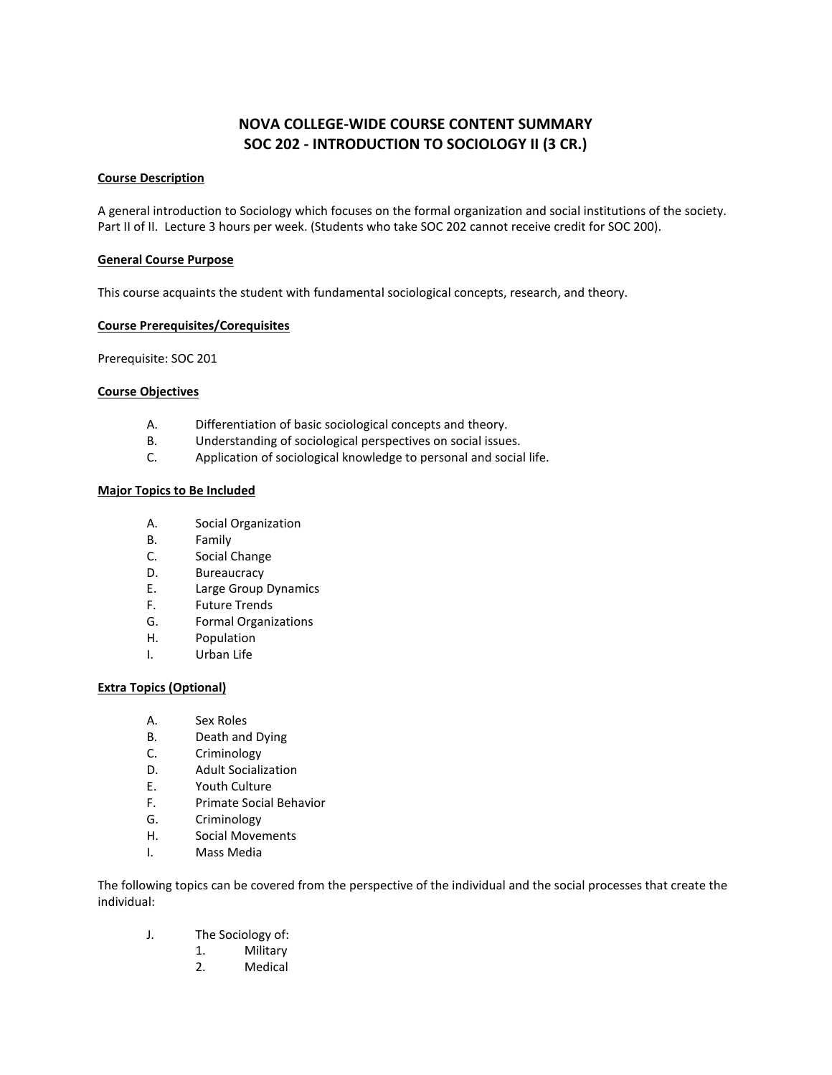# **NOVA COLLEGE-WIDE COURSE CONTENT SUMMARY SOC 202 - INTRODUCTION TO SOCIOLOGY II (3 CR.)**

# **Course Description**

A general introduction to Sociology which focuses on the formal organization and social institutions of the society. Part II of II. Lecture 3 hours per week. (Students who take SOC 202 cannot receive credit for SOC 200).

## **General Course Purpose**

This course acquaints the student with fundamental sociological concepts, research, and theory.

#### **Course Prerequisites/Corequisites**

Prerequisite: SOC 201

#### **Course Objectives**

- A. Differentiation of basic sociological concepts and theory.
- B. Understanding of sociological perspectives on social issues.
- C. Application of sociological knowledge to personal and social life.

#### **Major Topics to Be Included**

- A. Social Organization
- B. Family
- C. Social Change
- D. Bureaucracy
- E. Large Group Dynamics
- F. Future Trends
- G. Formal Organizations
- H. Population
- I. Urban Life

## **Extra Topics (Optional)**

- A. Sex Roles
- B. Death and Dying
- C. Criminology
- D. Adult Socialization
- E. Youth Culture
- F. Primate Social Behavior
- G. Criminology
- H. Social Movements
- I. Mass Media

The following topics can be covered from the perspective of the individual and the social processes that create the individual:

- J. The Sociology of:
	- 1. Military
	- 2. Medical